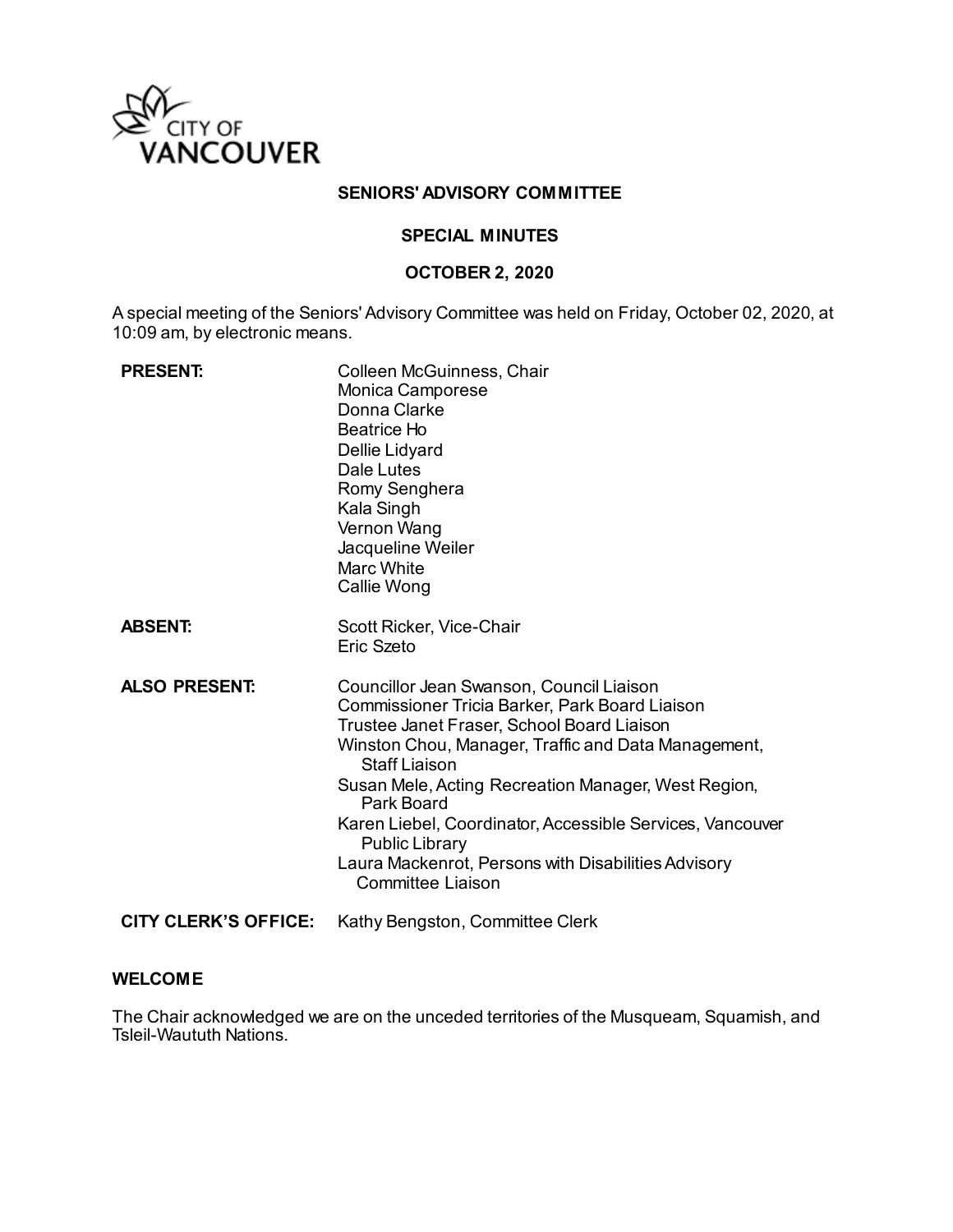

### **SENIORS' ADVISORY COMMITTEE**

## **SPECIAL MINUTES**

#### **OCTOBER 2, 2020**

A special meeting of the Seniors' Advisory Committee was held on Friday, October 02, 2020, at 10:09 am, by electronic means.

| <b>PRESENT:</b>      | Colleen McGuinness, Chair<br>Monica Camporese<br>Donna Clarke<br>Beatrice Ho<br>Dellie Lidyard<br>Dale Lutes<br>Romy Senghera<br>Kala Singh<br>Vernon Wang<br>Jacqueline Weiler<br><b>Marc White</b><br>Callie Wong                                                                                                                                                                                                                                            |
|----------------------|----------------------------------------------------------------------------------------------------------------------------------------------------------------------------------------------------------------------------------------------------------------------------------------------------------------------------------------------------------------------------------------------------------------------------------------------------------------|
| <b>ABSENT:</b>       | Scott Ricker, Vice-Chair<br>Eric Szeto                                                                                                                                                                                                                                                                                                                                                                                                                         |
| <b>ALSO PRESENT:</b> | Councillor Jean Swanson, Council Liaison<br>Commissioner Tricia Barker, Park Board Liaison<br>Trustee Janet Fraser, School Board Liaison<br>Winston Chou, Manager, Traffic and Data Management,<br><b>Staff Liaison</b><br>Susan Mele, Acting Recreation Manager, West Region,<br>Park Board<br>Karen Liebel, Coordinator, Accessible Services, Vancouver<br><b>Public Library</b><br>Laura Mackenrot, Persons with Disabilities Advisory<br>Committee Liaison |
| CITY CLERK'S OFFICE: | Kathy Bengston, Committee Clerk                                                                                                                                                                                                                                                                                                                                                                                                                                |

#### **WELCOME**

The Chair acknowledged we are on the unceded territories of the Musqueam, Squamish, and Tsleil-Waututh Nations.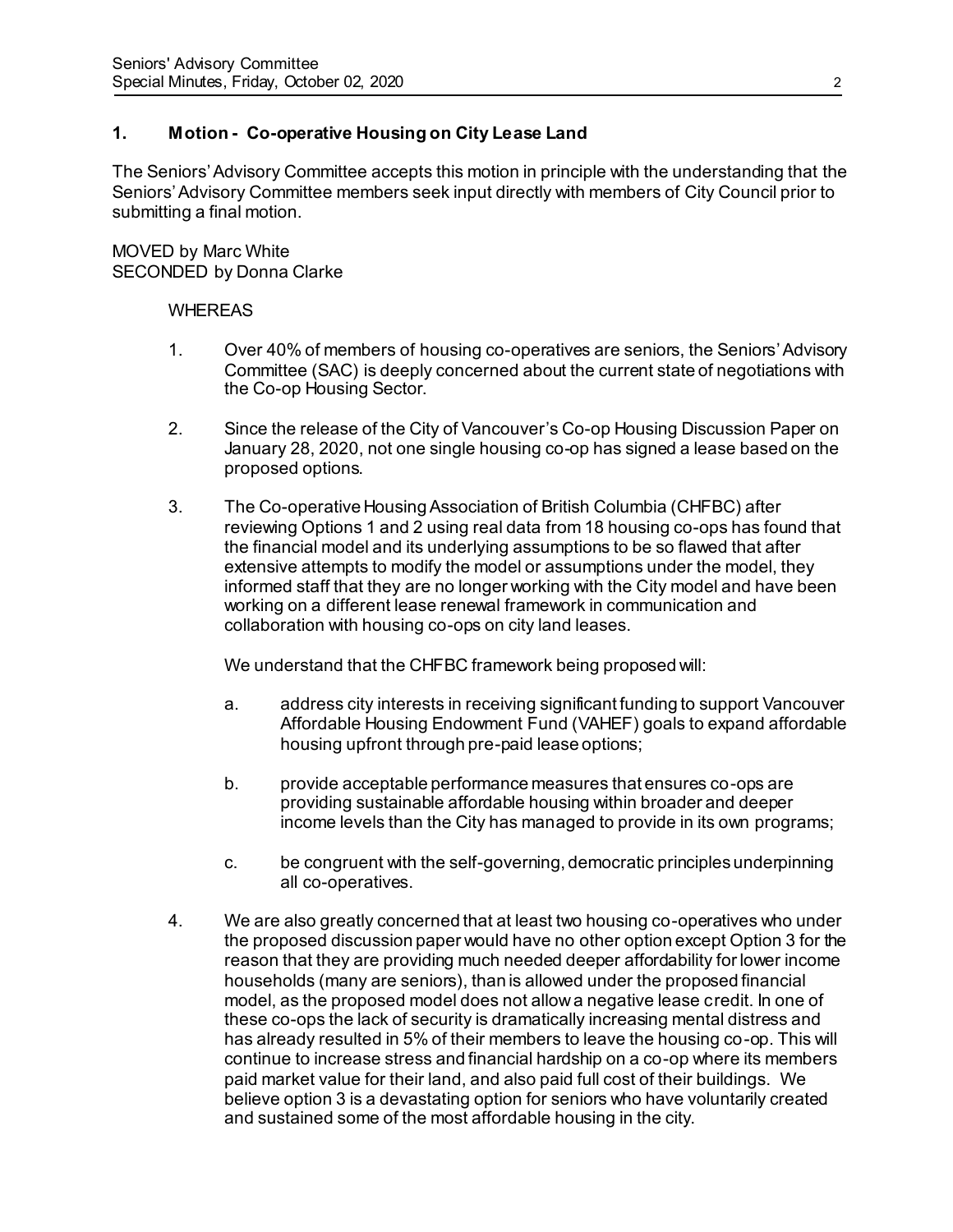# **1. Motion - Co-operative Housing on City Lease Land**

The Seniors' Advisory Committee accepts this motion in principle with the understanding that the Seniors' Advisory Committee members seek input directly with members of City Council prior to submitting a final motion.

MOVED by Marc White SECONDED by Donna Clarke

#### WHEREAS

- 1. Over 40% of members of housing co-operatives are seniors, the Seniors'Advisory Committee (SAC) is deeply concerned about the current state of negotiations with the Co-op Housing Sector.
- 2. Since the release of the City of Vancouver's Co-op Housing Discussion Paper on January 28, 2020, not one single housing co-op has signed a lease based on the proposed options.
- 3. The Co-operative Housing Association of British Columbia (CHFBC) after reviewing Options 1 and 2 using real data from 18 housing co-ops has found that the financial model and its underlying assumptions to be so flawed that after extensive attempts to modify the model or assumptions under the model, they informed staff that they are no longer working with the City model and have been working on a different lease renewal framework in communication and collaboration with housing co-ops on city land leases.

We understand that the CHFBC framework being proposed will:

- a. address city interests in receiving significant funding to support Vancouver Affordable Housing Endowment Fund (VAHEF) goals to expand affordable housing upfront through pre-paid lease options;
- b. provide acceptable performance measures that ensures co-ops are providing sustainable affordable housing within broader and deeper income levels than the City has managed to provide in its own programs;
- c. be congruent with the self-governing, democratic principles underpinning all co-operatives.
- 4. We are also greatly concerned that at least two housing co-operatives who under the proposed discussion paper would have no other option except Option 3 for the reason that they are providing much needed deeper affordability for lower income households (many are seniors), than is allowed under the proposed financial model, as the proposed model does not allow a negative lease credit. In one of these co-ops the lack of security is dramatically increasing mental distress and has already resulted in 5% of their members to leave the housing co-op. This will continue to increase stress and financial hardship on a co-op where its members paid market value for their land, and also paid full cost of their buildings. We believe option 3 is a devastating option for seniors who have voluntarily created and sustained some of the most affordable housing in the city.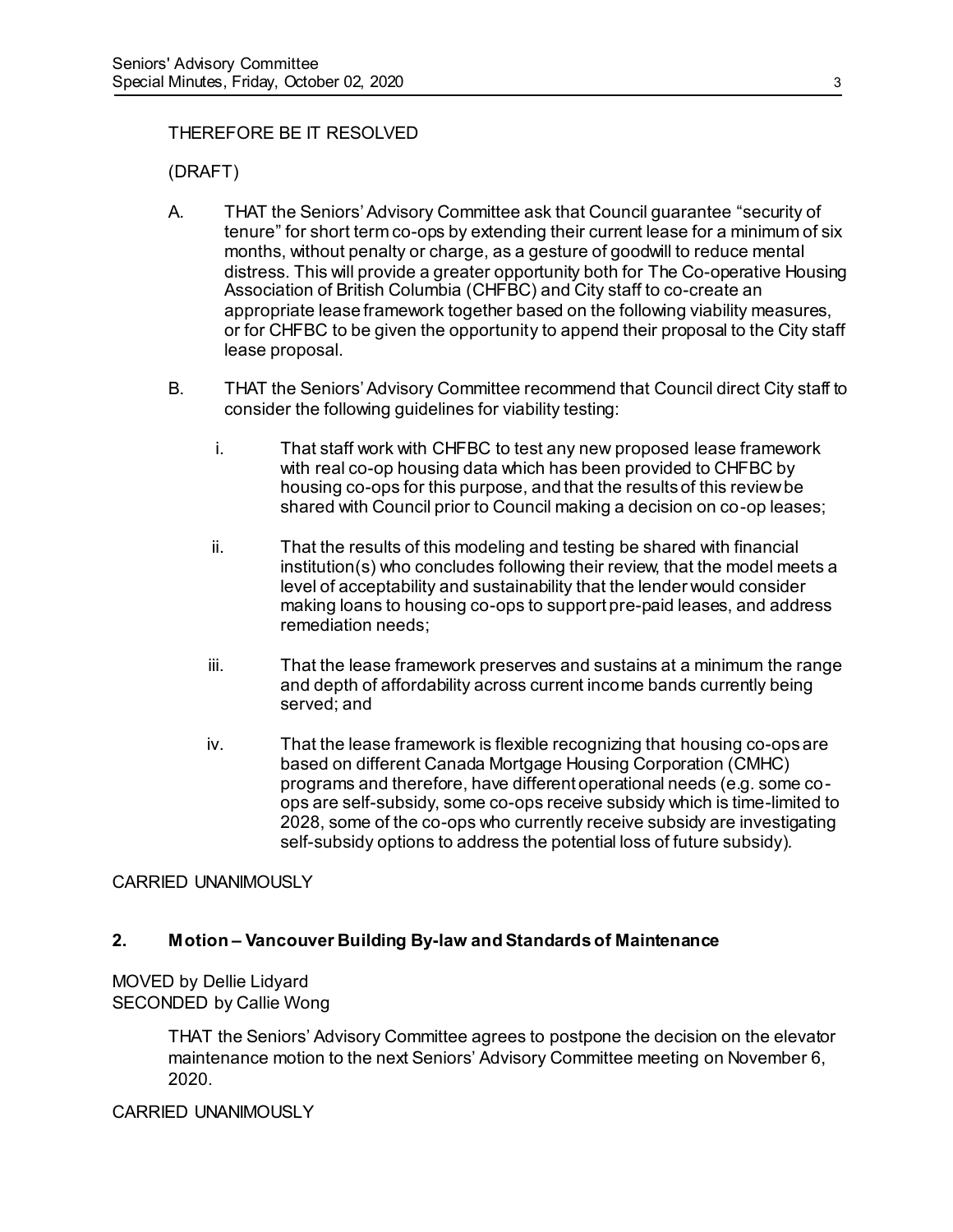# THEREFORE BE IT RESOLVED

(DRAFT)

- A. THAT the Seniors' Advisory Committee ask that Council guarantee "security of tenure" for short term co-ops by extending their current lease for a minimum of six months, without penalty or charge, as a gesture of goodwill to reduce mental distress. This will provide a greater opportunity both for The Co-operative Housing Association of British Columbia (CHFBC) and City staff to co-create an appropriate lease framework together based on the following viability measures, or for CHFBC to be given the opportunity to append their proposal to the City staff lease proposal.
- B. THAT the Seniors' Advisory Committee recommend that Council direct City staff to consider the following guidelines for viability testing:
	- i. That staff work with CHFBC to test any new proposed lease framework with real co-op housing data which has been provided to CHFBC by housing co-ops for this purpose, and that the results of this review be shared with Council prior to Council making a decision on co-op leases;
	- ii. That the results of this modeling and testing be shared with financial institution(s) who concludes following their review, that the model meets a level of acceptability and sustainability that the lender would consider making loans to housing co-ops to support pre-paid leases, and address remediation needs;
	- iii. That the lease framework preserves and sustains at a minimum the range and depth of affordability across current income bands currently being served; and
	- iv. That the lease framework is flexible recognizing that housing co-ops are based on different Canada Mortgage Housing Corporation (CMHC) programs and therefore, have different operational needs (e.g. some coops are self-subsidy, some co-ops receive subsidy which is time-limited to 2028, some of the co-ops who currently receive subsidy are investigating self-subsidy options to address the potential loss of future subsidy).

## CARRIED UNANIMOUSLY

## **2. Motion – Vancouver Building By-law and Standards of Maintenance**

# MOVED by Dellie Lidyard SECONDED by Callie Wong

THAT the Seniors' Advisory Committee agrees to postpone the decision on the elevator maintenance motion to the next Seniors' Advisory Committee meeting on November 6, 2020.

## CARRIED UNANIMOUSLY